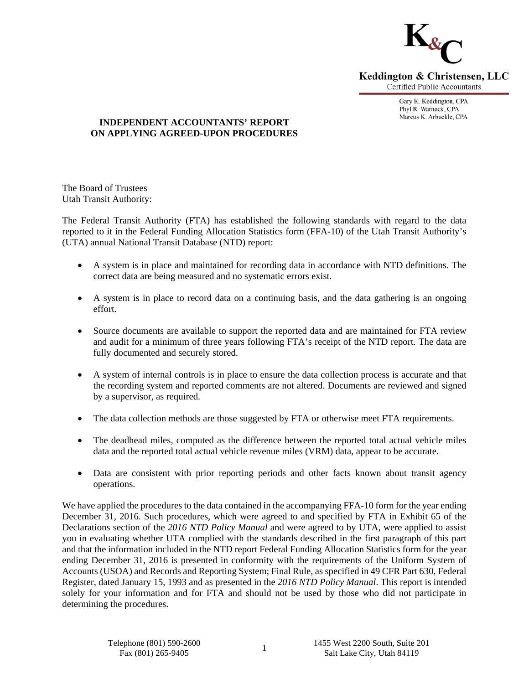

Keddington & Christensen, LLC **Certified Public Accountants** 

> Gary K. Keddington, CPA Phyl R. Warnock, CPA Marcus K. Arbuckle, CPA

# **INDEPENDENT ACCOUNTANTS' REPORT ON APPLYING AGREED-UPON PROCEDURES**

The Board of Trustees Utah Transit Authority:

The Federal Transit Authority (FTA) has established the following standards with regard to the data reported to it in the Federal Funding Allocation Statistics form (FFA-10) of the Utah Transit Authority's (UTA) annual National Transit Database (NTD) report:

- A system is in place and maintained for recording data in accordance with NTD definitions. The correct data are being measured and no systematic errors exist.
- A system is in place to record data on a continuing basis, and the data gathering is an ongoing effort.
- Source documents are available to support the reported data and are maintained for FTA review and audit for a minimum of three years following FTA's receipt of the NTD report. The data are fully documented and securely stored.
- A system of internal controls is in place to ensure the data collection process is accurate and that the recording system and reported comments are not altered. Documents are reviewed and signed by a supervisor, as required.
- The data collection methods are those suggested by FTA or otherwise meet FTA requirements.
- The deadhead miles, computed as the difference between the reported total actual vehicle miles data and the reported total actual vehicle revenue miles (VRM) data, appear to be accurate.
- Data are consistent with prior reporting periods and other facts known about transit agency operations.

We have applied the procedures to the data contained in the accompanying FFA-10 form for the year ending December 31, 2016. Such procedures, which were agreed to and specified by FTA in Exhibit 65 of the Declarations section of the *2016 NTD Policy Manual* and were agreed to by UTA, were applied to assist you in evaluating whether UTA complied with the standards described in the first paragraph of this part and that the information included in the NTD report Federal Funding Allocation Statistics form for the year ending December 31, 2016 is presented in conformity with the requirements of the Uniform System of Accounts (USOA) and Records and Reporting System; Final Rule, as specified in 49 CFR Part 630, Federal Register, dated January 15, 1993 and as presented in the *2016 NTD Policy Manual*. This report is intended solely for your information and for FTA and should not be used by those who did not participate in determining the procedures.

1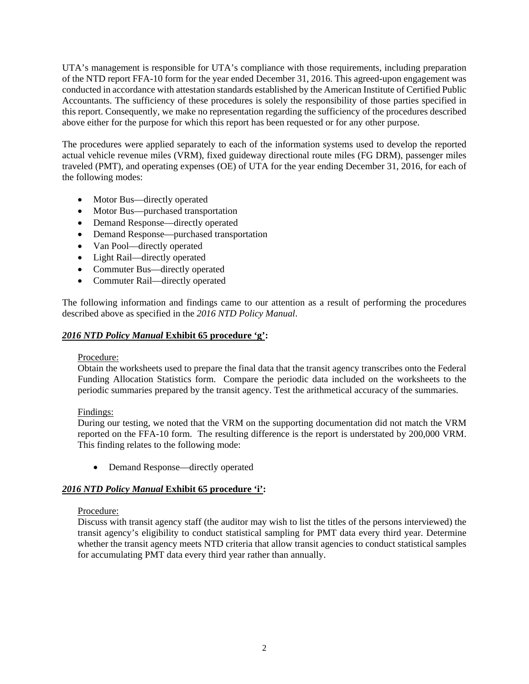UTA's management is responsible for UTA's compliance with those requirements, including preparation of the NTD report FFA-10 form for the year ended December 31, 2016. This agreed-upon engagement was conducted in accordance with attestation standards established by the American Institute of Certified Public Accountants. The sufficiency of these procedures is solely the responsibility of those parties specified in this report. Consequently, we make no representation regarding the sufficiency of the procedures described above either for the purpose for which this report has been requested or for any other purpose.

The procedures were applied separately to each of the information systems used to develop the reported actual vehicle revenue miles (VRM), fixed guideway directional route miles (FG DRM), passenger miles traveled (PMT), and operating expenses (OE) of UTA for the year ending December 31, 2016, for each of the following modes:

- Motor Bus—directly operated
- Motor Bus—purchased transportation
- Demand Response—directly operated
- Demand Response—purchased transportation
- Van Pool—directly operated
- Light Rail—directly operated
- Commuter Bus—directly operated
- Commuter Rail—directly operated

The following information and findings came to our attention as a result of performing the procedures described above as specified in the *2016 NTD Policy Manual*.

#### *2016 NTD Policy Manual* **Exhibit 65 procedure 'g':**

#### Procedure:

Obtain the worksheets used to prepare the final data that the transit agency transcribes onto the Federal Funding Allocation Statistics form. Compare the periodic data included on the worksheets to the periodic summaries prepared by the transit agency. Test the arithmetical accuracy of the summaries.

### Findings:

During our testing, we noted that the VRM on the supporting documentation did not match the VRM reported on the FFA-10 form. The resulting difference is the report is understated by 200,000 VRM. This finding relates to the following mode:

• Demand Response—directly operated

### *2016 NTD Policy Manual* **Exhibit 65 procedure 'i':**

### Procedure:

Discuss with transit agency staff (the auditor may wish to list the titles of the persons interviewed) the transit agency's eligibility to conduct statistical sampling for PMT data every third year. Determine whether the transit agency meets NTD criteria that allow transit agencies to conduct statistical samples for accumulating PMT data every third year rather than annually.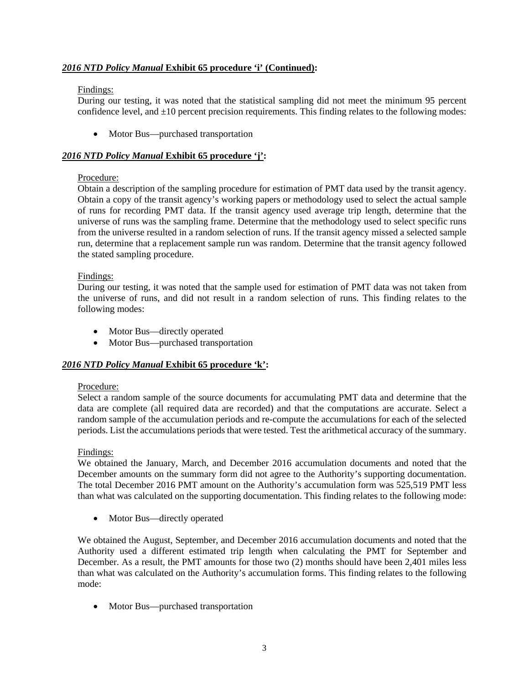# *2016 NTD Policy Manual* **Exhibit 65 procedure 'i' (Continued):**

# Findings:

During our testing, it was noted that the statistical sampling did not meet the minimum 95 percent confidence level, and  $\pm 10$  percent precision requirements. This finding relates to the following modes:

• Motor Bus—purchased transportation

# *2016 NTD Policy Manual* **Exhibit 65 procedure 'j':**

# Procedure:

Obtain a description of the sampling procedure for estimation of PMT data used by the transit agency. Obtain a copy of the transit agency's working papers or methodology used to select the actual sample of runs for recording PMT data. If the transit agency used average trip length, determine that the universe of runs was the sampling frame. Determine that the methodology used to select specific runs from the universe resulted in a random selection of runs. If the transit agency missed a selected sample run, determine that a replacement sample run was random. Determine that the transit agency followed the stated sampling procedure.

### Findings:

During our testing, it was noted that the sample used for estimation of PMT data was not taken from the universe of runs, and did not result in a random selection of runs. This finding relates to the following modes:

- Motor Bus—directly operated
- Motor Bus—purchased transportation

# *2016 NTD Policy Manual* **Exhibit 65 procedure 'k':**

### Procedure:

Select a random sample of the source documents for accumulating PMT data and determine that the data are complete (all required data are recorded) and that the computations are accurate. Select a random sample of the accumulation periods and re-compute the accumulations for each of the selected periods. List the accumulations periods that were tested. Test the arithmetical accuracy of the summary.

### Findings:

We obtained the January, March, and December 2016 accumulation documents and noted that the December amounts on the summary form did not agree to the Authority's supporting documentation. The total December 2016 PMT amount on the Authority's accumulation form was 525,519 PMT less than what was calculated on the supporting documentation. This finding relates to the following mode:

• Motor Bus—directly operated

We obtained the August, September, and December 2016 accumulation documents and noted that the Authority used a different estimated trip length when calculating the PMT for September and December. As a result, the PMT amounts for those two (2) months should have been 2,401 miles less than what was calculated on the Authority's accumulation forms. This finding relates to the following mode:

• Motor Bus—purchased transportation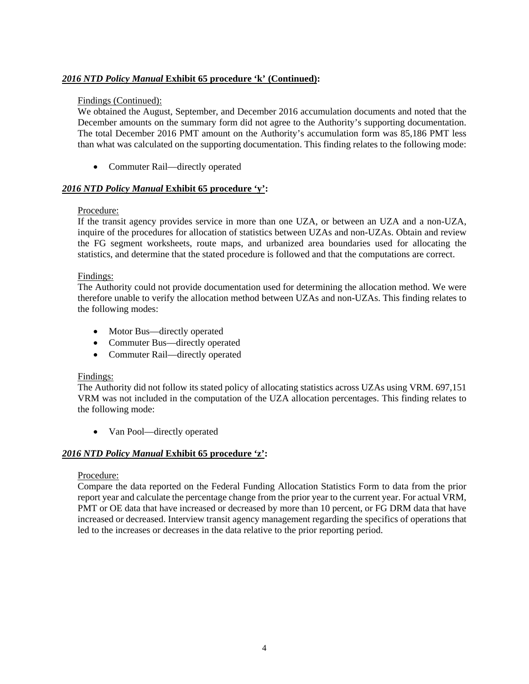# *2016 NTD Policy Manual* **Exhibit 65 procedure 'k' (Continued):**

#### Findings (Continued):

We obtained the August, September, and December 2016 accumulation documents and noted that the December amounts on the summary form did not agree to the Authority's supporting documentation. The total December 2016 PMT amount on the Authority's accumulation form was 85,186 PMT less than what was calculated on the supporting documentation. This finding relates to the following mode:

• Commuter Rail—directly operated

### *2016 NTD Policy Manual* **Exhibit 65 procedure 'y':**

#### Procedure:

If the transit agency provides service in more than one UZA, or between an UZA and a non-UZA, inquire of the procedures for allocation of statistics between UZAs and non-UZAs. Obtain and review the FG segment worksheets, route maps, and urbanized area boundaries used for allocating the statistics, and determine that the stated procedure is followed and that the computations are correct.

#### Findings:

The Authority could not provide documentation used for determining the allocation method. We were therefore unable to verify the allocation method between UZAs and non-UZAs. This finding relates to the following modes:

- Motor Bus—directly operated
- Commuter Bus—directly operated
- Commuter Rail—directly operated

#### Findings:

The Authority did not follow its stated policy of allocating statistics across UZAs using VRM. 697,151 VRM was not included in the computation of the UZA allocation percentages. This finding relates to the following mode:

• Van Pool—directly operated

### *2016 NTD Policy Manual* **Exhibit 65 procedure 'z':**

#### Procedure:

Compare the data reported on the Federal Funding Allocation Statistics Form to data from the prior report year and calculate the percentage change from the prior year to the current year. For actual VRM, PMT or OE data that have increased or decreased by more than 10 percent, or FG DRM data that have increased or decreased. Interview transit agency management regarding the specifics of operations that led to the increases or decreases in the data relative to the prior reporting period.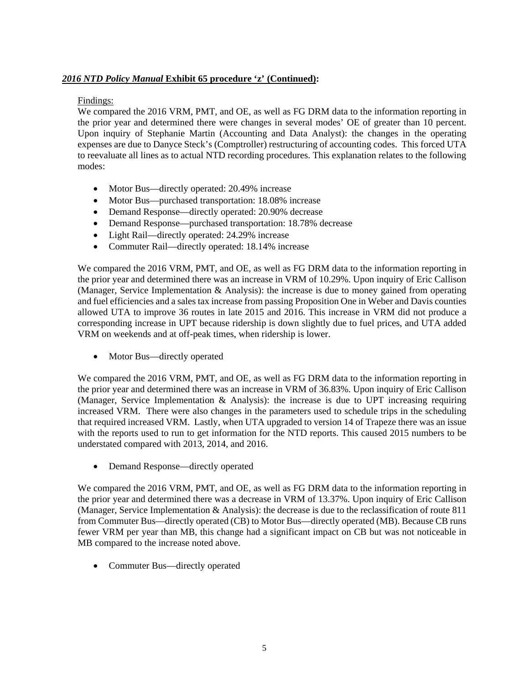# *2016 NTD Policy Manual* **Exhibit 65 procedure 'z' (Continued):**

# Findings:

We compared the 2016 VRM, PMT, and OE, as well as FG DRM data to the information reporting in the prior year and determined there were changes in several modes' OE of greater than 10 percent. Upon inquiry of Stephanie Martin (Accounting and Data Analyst): the changes in the operating expenses are due to Danyce Steck's (Comptroller) restructuring of accounting codes. This forced UTA to reevaluate all lines as to actual NTD recording procedures. This explanation relates to the following modes:

- Motor Bus—directly operated: 20.49% increase
- Motor Bus—purchased transportation: 18.08% increase
- Demand Response—directly operated: 20.90% decrease
- Demand Response—purchased transportation: 18.78% decrease
- Light Rail—directly operated: 24.29% increase
- Commuter Rail—directly operated: 18.14% increase

We compared the 2016 VRM, PMT, and OE, as well as FG DRM data to the information reporting in the prior year and determined there was an increase in VRM of 10.29%. Upon inquiry of Eric Callison (Manager, Service Implementation & Analysis): the increase is due to money gained from operating and fuel efficiencies and a sales tax increase from passing Proposition One in Weber and Davis counties allowed UTA to improve 36 routes in late 2015 and 2016. This increase in VRM did not produce a corresponding increase in UPT because ridership is down slightly due to fuel prices, and UTA added VRM on weekends and at off-peak times, when ridership is lower.

• Motor Bus—directly operated

We compared the 2016 VRM, PMT, and OE, as well as FG DRM data to the information reporting in the prior year and determined there was an increase in VRM of 36.83%. Upon inquiry of Eric Callison (Manager, Service Implementation  $\&$  Analysis): the increase is due to UPT increasing requiring increased VRM. There were also changes in the parameters used to schedule trips in the scheduling that required increased VRM. Lastly, when UTA upgraded to version 14 of Trapeze there was an issue with the reports used to run to get information for the NTD reports. This caused 2015 numbers to be understated compared with 2013, 2014, and 2016.

• Demand Response—directly operated

We compared the 2016 VRM, PMT, and OE, as well as FG DRM data to the information reporting in the prior year and determined there was a decrease in VRM of 13.37%. Upon inquiry of Eric Callison (Manager, Service Implementation & Analysis): the decrease is due to the reclassification of route 811 from Commuter Bus—directly operated (CB) to Motor Bus—directly operated (MB). Because CB runs fewer VRM per year than MB, this change had a significant impact on CB but was not noticeable in MB compared to the increase noted above.

• Commuter Bus—directly operated